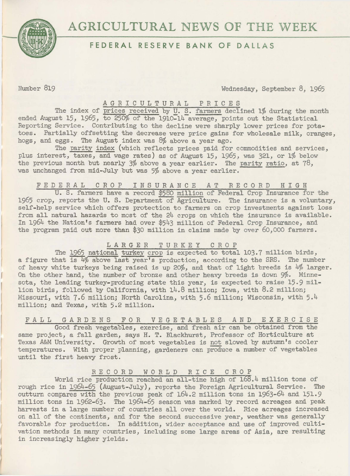

## **FEDERAL RESERVE BANK OF DALLAS**

Number 819 Wednesday, September 8, 1965

### AGRICULTURAL PRICES

The index of prices received by U. S. farmers declined 1% during the month ended August 15, 1965, to 250% of the 1910-14 average, points out the Statistical Reporting Service. Contributing to the decline were sharply lower prices for potatoes. Partially offsetting the decrease were price gains for wholesale milk, oranges, hogs, and eggs. The August index was 8% above a year ago.

The parity index (which reflects prices paid for commodities and services, plus interest, taxes, and wage rates) as of August 15, 1965, was 321, or 1% below the previous month but nearly 3% above a year earlier. The parity ratio, at 78, was unchanged from mid-July but was 5% above a year earlier.

#### FEDERAL CROP INSURANCE AT RECORD HIGH

U. S. farmers have a record \$580 million of Federal Crop Insurance for the 1965 crop, reports the U. S. Department of Agriculture. The insurance is a voluntary, self-help service which offers protection to farmers on crop investments against loss from all natural hazards to most of the 24 crops on which the insurance is available. In 1964 the Nation's farmers had over \$543 million of Federal Crop Insurance, and the program paid out more than \$30 million in claims made by over 60,000 farmers.

### LARGER TURKEY CROP

The 1965 national turkey crop is expected to total 103.7 million birds, a figure that is  $4\%$  above last year's production, according to the SRS. The number of heavy white turkeys being raised is up 20%, and that of light breeds is 4% larger. On the other hand, the number of bronze and other heavy breeds is down 9%. Minnesota, the leading turkey-producing state this year, is expected to raise 15.9 million birds, followed by California, with 14.8 million; Iowa, with 8.2 million; Missouri, with 7.6 million; North Carolina, with 5.6 million; Wisconsin, with 5.4 million; and Texas, with 5.2 million.

#### FALL GARDENS FOR VEGETABLES AND EXERCISE Good fresh vegetables, exercise, and fresh air can be obtained from the same project, a fall garden, says H. T. Blackhurst, Professor of Horticulture at Texas A&M University. Growth of most vegetables is not slowed by autumn's cooler temperatures. With proper planning, gardeners can produce a number of vegetables until the first heavy frost.

# RECORD WORLD RICE CROP

World rice production reached an all-time high of 168.4 million tons of rough rice in 1964-65 (August-July), reports the Foreign Agricultural Service. The outturn compares with the previous peak of 164.2 million tons in 1963-64 and 151.9 million tons in 1962-63. The 1964-65 season was marked by record acreages and peak harvests in a large number of countries all over the world. Rice acreages increased on all of the continents, and for the second successive year, weather was generally favorable for production. In addition, wider acceptance and use of improved cultivation methods in many countries, including some large areas of Asia, are resulting in increasingly higher yields.